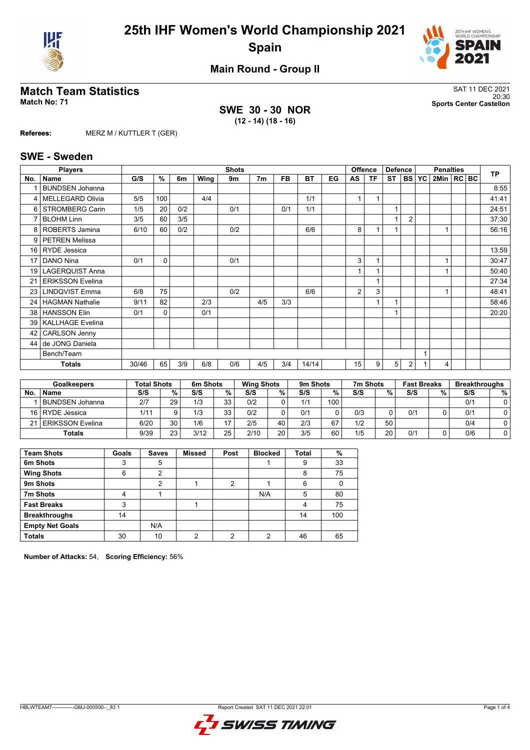



**Main Round - Group II**

## **Match Team Statistics** SAT 11 DEC 2021

**SWE 30 - 30 NOR (12 - 14) (18 - 16)**

20:30 **Match No: 71 Sports Center Castellon**

**Referees:** MERZ M / KUTTLER T (GER)

#### **SWE - Sweden**

|                 | <b>Players</b>          |       |     |     |      | <b>Shots</b> |                |           |           |    |    | <b>Offence</b> | <b>Defence</b> |                |   | <b>Penalties</b> |  | <b>TP</b> |
|-----------------|-------------------------|-------|-----|-----|------|--------------|----------------|-----------|-----------|----|----|----------------|----------------|----------------|---|------------------|--|-----------|
| No.             | <b>Name</b>             | G/S   | %   | 6m  | Wing | 9m           | 7 <sub>m</sub> | <b>FB</b> | <b>BT</b> | EG | AS | <b>TF</b>      | <b>ST</b>      | BS   YC        |   | 2Min   RC   BC   |  |           |
|                 | <b>BUNDSEN Johanna</b>  |       |     |     |      |              |                |           |           |    |    |                |                |                |   |                  |  | 8:55      |
| 4               | <b>MELLEGARD Olivia</b> | 5/5   | 100 |     | 4/4  |              |                |           | 1/1       |    |    | $\overline{1}$ |                |                |   |                  |  | 41:41     |
| 6               | <b>STROMBERG Carin</b>  | 1/5   | 20  | 0/2 |      | 0/1          |                | 0/1       | 1/1       |    |    |                | 1              |                |   |                  |  | 24:51     |
|                 | <b>BLOHM Linn</b>       | 3/5   | 60  | 3/5 |      |              |                |           |           |    |    |                | 1              | $\overline{2}$ |   |                  |  | 37:30     |
| 8               | ROBERTS Jamina          | 6/10  | 60  | 0/2 |      | 0/2          |                |           | 6/6       |    | 8  | 1              |                |                |   |                  |  | 56:16     |
| 9               | <b>PETREN Melissa</b>   |       |     |     |      |              |                |           |           |    |    |                |                |                |   |                  |  |           |
| 16 l            | <b>RYDE Jessica</b>     |       |     |     |      |              |                |           |           |    |    |                |                |                |   |                  |  | 13:59     |
| 17              | DANO Nina               | 0/1   | 0   |     |      | 0/1          |                |           |           |    | 3  | 1              |                |                |   |                  |  | 30:47     |
| 19 <sup>1</sup> | <b>LAGERQUIST Anna</b>  |       |     |     |      |              |                |           |           |    |    | 1              |                |                |   |                  |  | 50:40     |
| 21              | <b>ERIKSSON Evelina</b> |       |     |     |      |              |                |           |           |    |    | 1              |                |                |   |                  |  | 27:34     |
| 23 <sub>1</sub> | <b>LINDQVIST Emma</b>   | 6/8   | 75  |     |      | 0/2          |                |           | 6/6       |    | 2  | 3              |                |                |   |                  |  | 48:41     |
| 24 <sub>1</sub> | <b>HAGMAN Nathalie</b>  | 9/11  | 82  |     | 2/3  |              | 4/5            | 3/3       |           |    |    | 1              |                |                |   |                  |  | 58:46     |
| 38 <sup>1</sup> | <b>HANSSON Elin</b>     | 0/1   | 0   |     | 0/1  |              |                |           |           |    |    |                |                |                |   |                  |  | 20:20     |
| 39 I            | <b>KALLHAGE Evelina</b> |       |     |     |      |              |                |           |           |    |    |                |                |                |   |                  |  |           |
| 42              | <b>CARLSON Jenny</b>    |       |     |     |      |              |                |           |           |    |    |                |                |                |   |                  |  |           |
| 44              | de JONG Daniela         |       |     |     |      |              |                |           |           |    |    |                |                |                |   |                  |  |           |
|                 | Bench/Team              |       |     |     |      |              |                |           |           |    |    |                |                |                | 1 |                  |  |           |
|                 | Totals                  | 30/46 | 65  | 3/9 | 6/8  | 0/6          | 4/5            | 3/4       | 14/14     |    | 15 | 9              | 5              | 2              |   | 4                |  |           |

| <b>Goalkeepers</b> |                        |      | Total Shots |      | 6m Shots |      | <b>Wing Shots</b> |     | 9m Shots |     | 7m Shots |     | <b>Fast Breaks</b> |     | <b>Breakthroughs</b> |
|--------------------|------------------------|------|-------------|------|----------|------|-------------------|-----|----------|-----|----------|-----|--------------------|-----|----------------------|
| No.                | <b>Name</b>            | S/S  | %           | S/S  | %        | S/S  | %                 | S/S | %        | S/S | %        | S/S | %.                 | S/S | %                    |
|                    | <b>BUNDSEN Johanna</b> | 2/7  | 29          | 1/3  | २२<br>ບພ | 0/2  |                   | 1/1 | 100      |     |          |     |                    | 0/1 |                      |
|                    | 16   RYDE Jessica      | 1/11 |             | 1/3  | 33       | 0/2  |                   | 0/1 |          | 0/3 |          | 0/1 |                    | 0/1 |                      |
|                    | 21 ERIKSSON Evelina    | 6/20 | 30          | 1/6  | 17       | 2/5  | 40                | 2/3 | 67       | 1/2 | 50       |     |                    | 0/4 |                      |
| Totals             |                        | 9/39 | 23          | 3/12 | 25       | 2/10 | 20                | 3/5 | 60       | 1/5 | 20       | 0/1 |                    | 0/6 |                      |

| <b>Team Shots</b>      | Goals | <b>Saves</b> | <b>Missed</b> | Post           | <b>Blocked</b> | <b>Total</b> | %   |
|------------------------|-------|--------------|---------------|----------------|----------------|--------------|-----|
| 6m Shots               | 3     | 5            |               |                |                | 9            | 33  |
| <b>Wing Shots</b>      | 6     | 2            |               |                |                | 8            | 75  |
| 9m Shots               |       | 2            |               | $\overline{2}$ |                | 6            |     |
| 7m Shots               | 4     |              |               |                | N/A            | 5            | 80  |
| <b>Fast Breaks</b>     | 3     |              |               |                |                | 4            | 75  |
| <b>Breakthroughs</b>   | 14    |              |               |                |                | 14           | 100 |
| <b>Empty Net Goals</b> |       | N/A          |               |                |                |              |     |
| <b>Totals</b>          | 30    | 10           | ∩             | າ              | ⌒              | 46           | 65  |

**Number of Attacks:** 54, **Scoring Efficiency:** 56%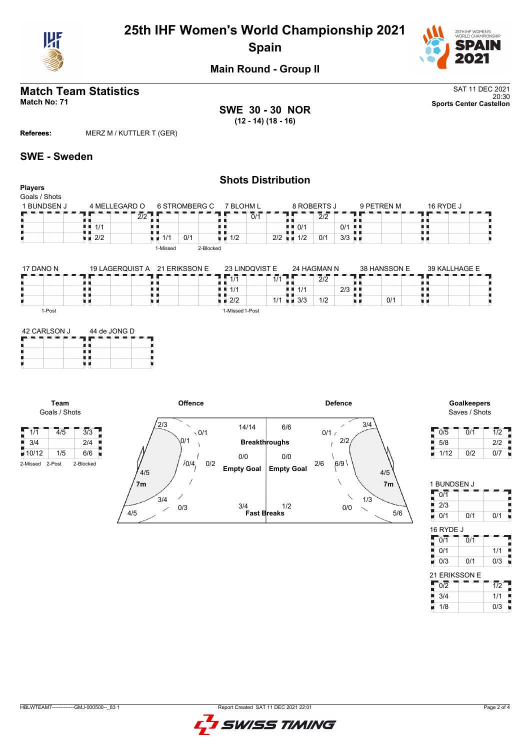

## **25th IHF Women's World Championship 2021 Spain**



**Main Round - Group II**

## **Match Team Statistics** SAT 11 DEC 2021

**SWE 30 - 30 NOR (12 - 14) (18 - 16)**

20:30 **Match No: 71 Sports Center Castellon**

**Referees:** MERZ M / KUTTLER T (GER)

### **SWE - Sweden**

**Team** Goals / Shots

#### **Shots Distribution Players** Goals / Shots 6 STROMBERG C 1 BUNDSEN J 4 MELLEGARD O 9 PETREN M 16 RYDE J<br>2 - - - - - - - - - - - - - - - - - -7 BLOHM L 8 ROBERTS J  $\overline{2}/2$  $|0/1$  $\vert$  2/2 89 щ 89, R, 机电 电电 ă,  $1/1$  $\blacksquare$  0/1 | 0/1  $\frac{1}{2}$   $\frac{1}{2}$   $\frac{1}{2}$  $1/1$  0/1 2/2  $1/2$  0/1 3/3 υø 1-Missed 2-Blocked 17 DANO N 19 LAGERQUIST A 21 ERIKSSON E 23 LINDQVIST E 24 HAGMAN N 38 HANSSON E 39 KALLHAGE E  $\frac{1}{1/1}$   $\frac{1}{1/1}$   $\frac{2}{2}$   $\frac{2}{3}$ п ٦F 7 F ä, F Ŧ. **F**  $\overline{2}/2$ ∰  $1/1$  1/1 ÄК ii<br>U ٠ ш 9 u u  $1/1$

 $\blacksquare$  2/2 | 1/1 1-Missed 1-Post

 $\frac{1}{1/1}$   $\frac{1}{1/2}$   $\frac{1}{2/3}$   $\frac{1}{2}$ 

 $0/1$ 

n e

| 1-Post       |              |  |
|--------------|--------------|--|
| 42 CARLSON J | 44 de JONG D |  |
|              |              |  |
|              |              |  |
|              |              |  |

n e



Saves / Shots

| 0/5  | 0/1 | 1/2 |
|------|-----|-----|
| 5/8  |     | 2/2 |
| 1/12 | 0/2 | 0/7 |

| 0/1              |     |     |
|------------------|-----|-----|
| I<br>2/3         |     |     |
| j<br>0/1         | 0/1 | 0/1 |
|                  |     |     |
| 16 RYDE J<br>0/1 | 0/1 |     |
| 0/1              |     | 1/1 |

1 BUNDSEN J

| 21 ERIKSSON E |     |
|---------------|-----|
| 0/2           | 1/2 |
| 3/4           | 1/1 |
| 1/8           | 0/3 |

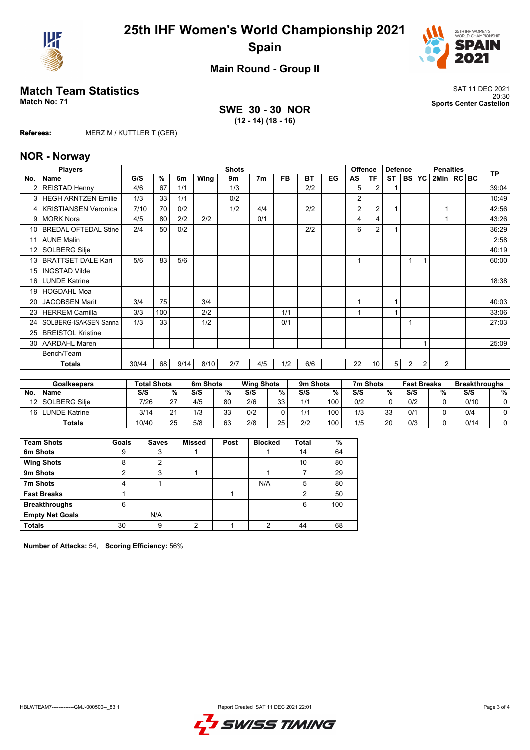



**Main Round - Group II**

## **Match Team Statistics** SAT 11 DEC 2021

**SWE 30 - 30 NOR (12 - 14) (18 - 16)**

20:30 **Match No: 71 Sports Center Castellon**

**Referees:** MERZ M / KUTTLER T (GER)

#### **NOR - Norway**

|                 | <b>Players</b>              |       |     |      |      | <b>Shots</b> |                |           |           |    |                | <b>Offence</b> | <b>Defence</b> |                |           | <b>Penalties</b> |  | <b>TP</b> |
|-----------------|-----------------------------|-------|-----|------|------|--------------|----------------|-----------|-----------|----|----------------|----------------|----------------|----------------|-----------|------------------|--|-----------|
| No.             | <b>Name</b>                 | G/S   | %   | 6m   | Wing | 9m           | 7 <sub>m</sub> | <b>FB</b> | <b>BT</b> | EG | AS             | <b>TF</b>      | <b>ST</b>      | <b>BS</b>      | <b>YC</b> | 2Min   RC   BC   |  |           |
| $\overline{2}$  | <b>REISTAD Henny</b>        | 4/6   | 67  | 1/1  |      | 1/3          |                |           | 2/2       |    | 5              | $\overline{2}$ |                |                |           |                  |  | 39:04     |
| 3               | <b>HEGH ARNTZEN Emilie</b>  | 1/3   | 33  | 1/1  |      | 0/2          |                |           |           |    | 2              |                |                |                |           |                  |  | 10:49     |
| 4               | <b>KRISTIANSEN Veronica</b> | 7/10  | 70  | 0/2  |      | 1/2          | 4/4            |           | 2/2       |    | 2              | 2              |                |                |           |                  |  | 42:56     |
| 9               | <b>MORK Nora</b>            | 4/5   | 80  | 2/2  | 2/2  |              | 0/1            |           |           |    | 4              | 4              |                |                |           |                  |  | 43:26     |
| 10 <sup>1</sup> | <b>BREDAL OFTEDAL Stine</b> | 2/4   | 50  | 0/2  |      |              |                |           | 2/2       |    | 6              | $\overline{2}$ |                |                |           |                  |  | 36:29     |
| 11              | <b>AUNE Malin</b>           |       |     |      |      |              |                |           |           |    |                |                |                |                |           |                  |  | 2:58      |
| 12 <sub>1</sub> | SOLBERG Silje               |       |     |      |      |              |                |           |           |    |                |                |                |                |           |                  |  | 40:19     |
| 13              | <b>BRATTSET DALE Kari</b>   | 5/6   | 83  | 5/6  |      |              |                |           |           |    | $\overline{ }$ |                |                |                |           |                  |  | 60:00     |
| 15              | <b>INGSTAD Vilde</b>        |       |     |      |      |              |                |           |           |    |                |                |                |                |           |                  |  |           |
| 16 <sup>1</sup> | <b>LUNDE Katrine</b>        |       |     |      |      |              |                |           |           |    |                |                |                |                |           |                  |  | 18:38     |
| 19 <sup>1</sup> | <b>HOGDAHL Moa</b>          |       |     |      |      |              |                |           |           |    |                |                |                |                |           |                  |  |           |
| 20 <sub>1</sub> | <b>JACOBSEN Marit</b>       | 3/4   | 75  |      | 3/4  |              |                |           |           |    | $\overline{A}$ |                | 1              |                |           |                  |  | 40:03     |
| 23              | <b>HERREM Camilla</b>       | 3/3   | 100 |      | 2/2  |              |                | 1/1       |           |    |                |                |                |                |           |                  |  | 33:06     |
| 24              | SOLBERG-ISAKSEN Sanna       | 1/3   | 33  |      | 1/2  |              |                | 0/1       |           |    |                |                |                |                |           |                  |  | 27:03     |
| 25              | <b>BREISTOL Kristine</b>    |       |     |      |      |              |                |           |           |    |                |                |                |                |           |                  |  |           |
| 30 <sup>1</sup> | <b>AARDAHL Maren</b>        |       |     |      |      |              |                |           |           |    |                |                |                |                |           |                  |  | 25:09     |
|                 | Bench/Team                  |       |     |      |      |              |                |           |           |    |                |                |                |                |           |                  |  |           |
|                 | <b>Totals</b>               | 30/44 | 68  | 9/14 | 8/10 | 2/7          | 4/5            | 1/2       | 6/6       |    | 22             | 10             | 5              | $\overline{2}$ | 2         | $\overline{2}$   |  |           |

| <b>Goalkeepers</b> |                      | <b>Total Shots</b> |    | 6m Shots |          | <b>Wing Shots</b> |    | 9m Shots |     | 7m Shots |      |     | <b>Fast Breaks</b> |      | <b>Breakthroughs</b> |  |
|--------------------|----------------------|--------------------|----|----------|----------|-------------------|----|----------|-----|----------|------|-----|--------------------|------|----------------------|--|
| <b>No</b>          | <b>Name</b>          | S/S                | %  | S/S      | $\%$ .   | S/S               | %  | S/S      | %   | S/S      | $\%$ | S/S | %                  | S/S  | %                    |  |
|                    | 12 SOLBERG Silie     | 7/26               | 27 | 4/5      | 80       | 2/6               | 33 | 1/1      | 100 | 0/2      |      | 0/2 |                    | 0/10 | 0                    |  |
| 16 <sup>1</sup>    | <b>LUNDE Katrine</b> | 3/14               | 24 | 1/3      | 33<br>ບປ | 0/2               |    | 1/1      | 100 | 1/3      | 33   | 0/1 |                    | 0/4  |                      |  |
|                    | Totals               | 10/40              | 25 | 5/8      | 63<br>υJ | 2/8               | 25 | 2/2      | 100 | 1/5      | 20   | 0/3 |                    | 0/14 |                      |  |

| <b>Team Shots</b>      | Goals | <b>Saves</b> | <b>Missed</b> | Post | <b>Blocked</b> | Total | %   |
|------------------------|-------|--------------|---------------|------|----------------|-------|-----|
| 6m Shots               | 9     | 3            |               |      |                | 14    | 64  |
| <b>Wing Shots</b>      | 8     | 2            |               |      |                | 10    | 80  |
| 9m Shots               | າ     | 3            |               |      |                |       | 29  |
| 7m Shots               | 4     |              |               |      | N/A            | 5     | 80  |
| <b>Fast Breaks</b>     |       |              |               |      |                | 2     | 50  |
| <b>Breakthroughs</b>   | 6     |              |               |      |                | 6     | 100 |
| <b>Empty Net Goals</b> |       | N/A          |               |      |                |       |     |
| <b>Totals</b>          | 30    | 9            | ∩             |      | ◠              | 44    | 68  |

**Number of Attacks:** 54, **Scoring Efficiency:** 56%